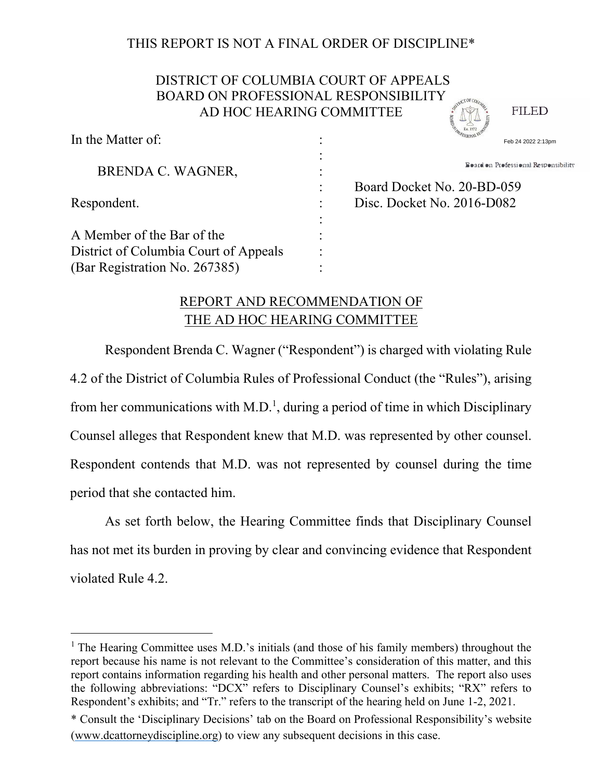## THIS REPORT IS NOT A FINAL ORDER OF DISCIPLINE\*

# DISTRICT OF COLUMBIA COURT OF APPEALS BOARD ON PROFESSIONAL RESPONSIBILITY AD HOC HEARING COMMITTEE

In the Matter of:

**FILED** 

| In the Matter Of:                     | Feb 24 2022 2:13pm                   |
|---------------------------------------|--------------------------------------|
| BRENDA C. WAGNER,                     | Board on Professional Responsibility |
|                                       | Board Docket No. 20-BD-059           |
| Respondent.                           | Disc. Docket No. 2016-D082           |
|                                       |                                      |
| A Member of the Bar of the            |                                      |
| District of Columbia Court of Appeals |                                      |
| (Bar Registration No. 267385)         |                                      |

# REPORT AND RECOMMENDATION OF THE AD HOC HEARING COMMITTEE

Respondent Brenda C. Wagner ("Respondent") is charged with violating Rule 4.2 of the District of Columbia Rules of Professional Conduct (the "Rules"), arising from her communications with M.D.<sup>1</sup>, during a period of time in which Disciplinary Counsel alleges that Respondent knew that M.D. was represented by other counsel. Respondent contends that M.D. was not represented by counsel during the time period that she contacted him.

As set forth below, the Hearing Committee finds that Disciplinary Counsel has not met its burden in proving by clear and convincing evidence that Respondent violated Rule 4.2.

<sup>&</sup>lt;sup>1</sup> The Hearing Committee uses M.D.'s initials (and those of his family members) throughout the report because his name is not relevant to the Committee's consideration of this matter, and this report contains information regarding his health and other personal matters. The report also uses the following abbreviations: "DCX" refers to Disciplinary Counsel's exhibits; "RX" refers to Respondent's exhibits; and "Tr." refers to the transcript of the hearing held on June 1-2, 2021.

<sup>\*</sup> Consult the 'Disciplinary Decisions' tab on the Board on Professional Responsibility's website (www.dcattorneydiscipline.org) to view any subsequent decisions in this case.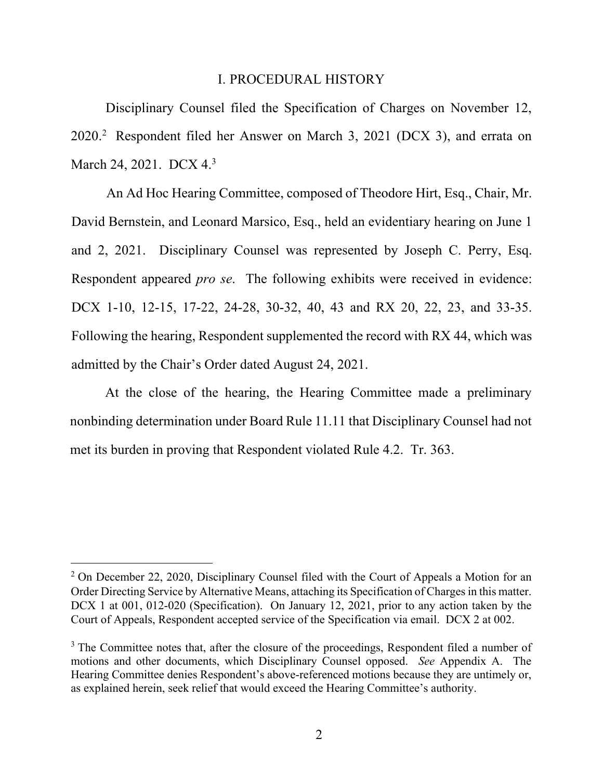#### I. PROCEDURAL HISTORY

Disciplinary Counsel filed the Specification of Charges on November 12, 2020.<sup>2</sup> Respondent filed her Answer on March 3, 2021 (DCX 3), and errata on March 24, 2021. DCX 4.<sup>3</sup>

An Ad Hoc Hearing Committee, composed of Theodore Hirt, Esq., Chair, Mr. David Bernstein, and Leonard Marsico, Esq., held an evidentiary hearing on June 1 and 2, 2021. Disciplinary Counsel was represented by Joseph C. Perry, Esq. Respondent appeared *pro se*. The following exhibits were received in evidence: DCX 1-10, 12-15, 17-22, 24-28, 30-32, 40, 43 and RX 20, 22, 23, and 33-35. Following the hearing, Respondent supplemented the record with RX 44, which was admitted by the Chair's Order dated August 24, 2021.

At the close of the hearing, the Hearing Committee made a preliminary nonbinding determination under Board Rule 11.11 that Disciplinary Counsel had not met its burden in proving that Respondent violated Rule 4.2. Tr. 363.

 $2^2$  On December 22, 2020, Disciplinary Counsel filed with the Court of Appeals a Motion for an Order Directing Service by Alternative Means, attaching its Specification of Charges in this matter. DCX 1 at 001, 012-020 (Specification). On January 12, 2021, prior to any action taken by the Court of Appeals, Respondent accepted service of the Specification via email. DCX 2 at 002.

 $3$  The Committee notes that, after the closure of the proceedings, Respondent filed a number of motions and other documents, which Disciplinary Counsel opposed. *See* Appendix A. The Hearing Committee denies Respondent's above-referenced motions because they are untimely or, as explained herein, seek relief that would exceed the Hearing Committee's authority.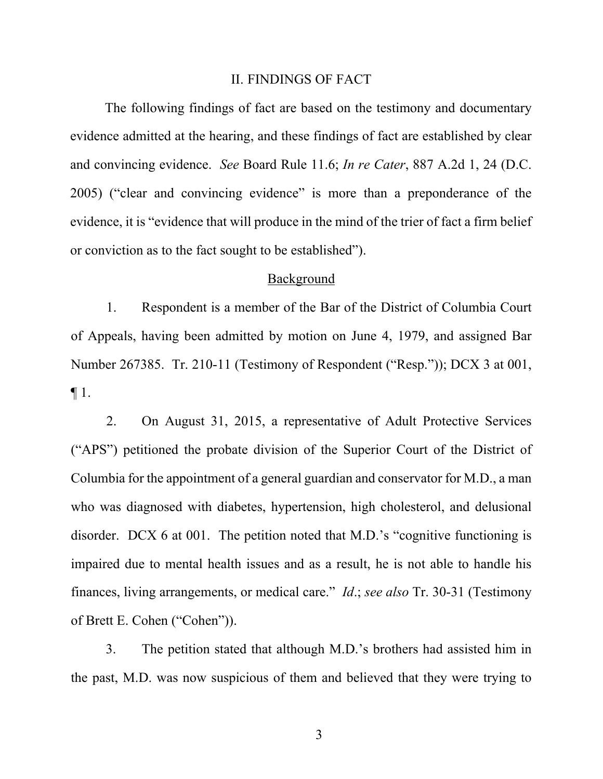#### II. FINDINGS OF FACT

The following findings of fact are based on the testimony and documentary evidence admitted at the hearing, and these findings of fact are established by clear and convincing evidence. *See* Board Rule 11.6; *In re Cater*, 887 A.2d 1, 24 (D.C. 2005) ("clear and convincing evidence" is more than a preponderance of the evidence, it is "evidence that will produce in the mind of the trier of fact a firm belief or conviction as to the fact sought to be established").

#### Background

1. Respondent is a member of the Bar of the District of Columbia Court of Appeals, having been admitted by motion on June 4, 1979, and assigned Bar Number 267385. Tr. 210-11 (Testimony of Respondent ("Resp.")); DCX 3 at 001, ¶ 1.

2. On August 31, 2015, a representative of Adult Protective Services ("APS") petitioned the probate division of the Superior Court of the District of Columbia for the appointment of a general guardian and conservator for M.D., a man who was diagnosed with diabetes, hypertension, high cholesterol, and delusional disorder. DCX 6 at 001. The petition noted that M.D.'s "cognitive functioning is impaired due to mental health issues and as a result, he is not able to handle his finances, living arrangements, or medical care." *Id*.; *see also* Tr. 30-31 (Testimony of Brett E. Cohen ("Cohen")).

3. The petition stated that although M.D.'s brothers had assisted him in the past, M.D. was now suspicious of them and believed that they were trying to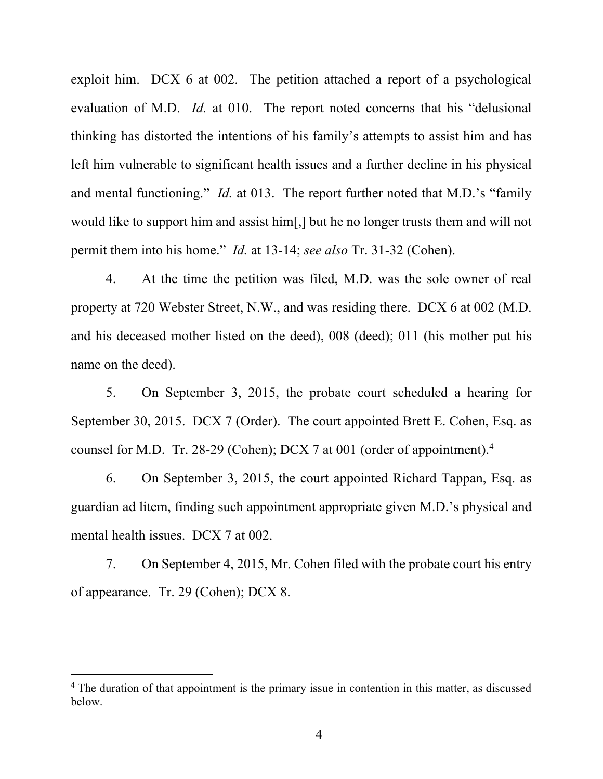exploit him. DCX 6 at 002. The petition attached a report of a psychological evaluation of M.D. *Id.* at 010. The report noted concerns that his "delusional thinking has distorted the intentions of his family's attempts to assist him and has left him vulnerable to significant health issues and a further decline in his physical and mental functioning." *Id.* at 013. The report further noted that M.D.'s "family would like to support him and assist him[,] but he no longer trusts them and will not permit them into his home." *Id.* at 13-14; *see also* Tr. 31-32 (Cohen).

4. At the time the petition was filed, M.D. was the sole owner of real property at 720 Webster Street, N.W., and was residing there. DCX 6 at 002 (M.D. and his deceased mother listed on the deed), 008 (deed); 011 (his mother put his name on the deed).

5. On September 3, 2015, the probate court scheduled a hearing for September 30, 2015. DCX 7 (Order). The court appointed Brett E. Cohen, Esq. as counsel for M.D. Tr. 28-29 (Cohen); DCX 7 at 001 (order of appointment).<sup>4</sup>

6. On September 3, 2015, the court appointed Richard Tappan, Esq. as guardian ad litem, finding such appointment appropriate given M.D.'s physical and mental health issues. DCX 7 at 002.

7. On September 4, 2015, Mr. Cohen filed with the probate court his entry of appearance. Tr. 29 (Cohen); DCX 8.

<sup>&</sup>lt;sup>4</sup> The duration of that appointment is the primary issue in contention in this matter, as discussed below.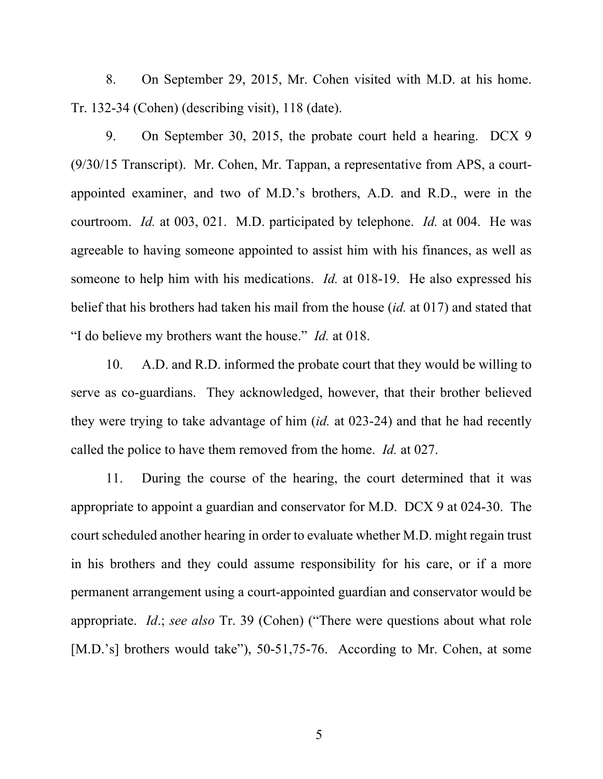8. On September 29, 2015, Mr. Cohen visited with M.D. at his home. Tr. 132-34 (Cohen) (describing visit), 118 (date).

9. On September 30, 2015, the probate court held a hearing. DCX 9 (9/30/15 Transcript). Mr. Cohen, Mr. Tappan, a representative from APS, a courtappointed examiner, and two of M.D.'s brothers, A.D. and R.D., were in the courtroom. *Id.* at 003, 021. M.D. participated by telephone. *Id.* at 004. He was agreeable to having someone appointed to assist him with his finances, as well as someone to help him with his medications. *Id.* at 018-19. He also expressed his belief that his brothers had taken his mail from the house (*id.* at 017) and stated that "I do believe my brothers want the house." *Id.* at 018.

10. A.D. and R.D. informed the probate court that they would be willing to serve as co-guardians. They acknowledged, however, that their brother believed they were trying to take advantage of him (*id.* at 023-24) and that he had recently called the police to have them removed from the home. *Id.* at 027.

11. During the course of the hearing, the court determined that it was appropriate to appoint a guardian and conservator for M.D. DCX 9 at 024-30. The court scheduled another hearing in order to evaluate whether M.D. might regain trust in his brothers and they could assume responsibility for his care, or if a more permanent arrangement using a court-appointed guardian and conservator would be appropriate. *Id*.; *see also* Tr. 39 (Cohen) ("There were questions about what role [M.D.'s] brothers would take"), 50-51,75-76. According to Mr. Cohen, at some

 $\sim$  5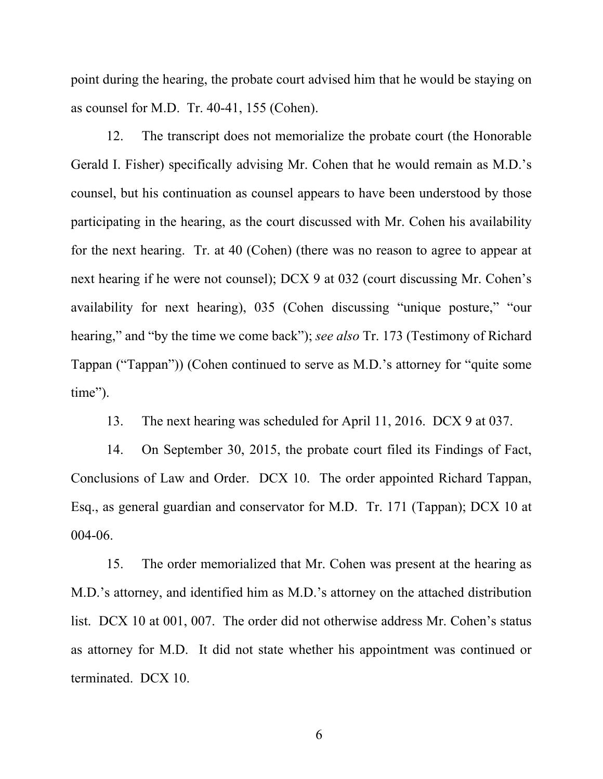point during the hearing, the probate court advised him that he would be staying on as counsel for M.D. Tr. 40-41, 155 (Cohen).

12. The transcript does not memorialize the probate court (the Honorable Gerald I. Fisher) specifically advising Mr. Cohen that he would remain as M.D.'s counsel, but his continuation as counsel appears to have been understood by those participating in the hearing, as the court discussed with Mr. Cohen his availability for the next hearing. Tr. at 40 (Cohen) (there was no reason to agree to appear at next hearing if he were not counsel); DCX 9 at 032 (court discussing Mr. Cohen's availability for next hearing), 035 (Cohen discussing "unique posture," "our hearing," and "by the time we come back"); *see also* Tr. 173 (Testimony of Richard Tappan ("Tappan")) (Cohen continued to serve as M.D.'s attorney for "quite some time").

13. The next hearing was scheduled for April 11, 2016. DCX 9 at 037.

14. On September 30, 2015, the probate court filed its Findings of Fact, Conclusions of Law and Order. DCX 10. The order appointed Richard Tappan, Esq., as general guardian and conservator for M.D. Tr. 171 (Tappan); DCX 10 at 004-06.

15. The order memorialized that Mr. Cohen was present at the hearing as M.D.'s attorney, and identified him as M.D.'s attorney on the attached distribution list. DCX 10 at 001, 007. The order did not otherwise address Mr. Cohen's status as attorney for M.D. It did not state whether his appointment was continued or terminated. DCX 10.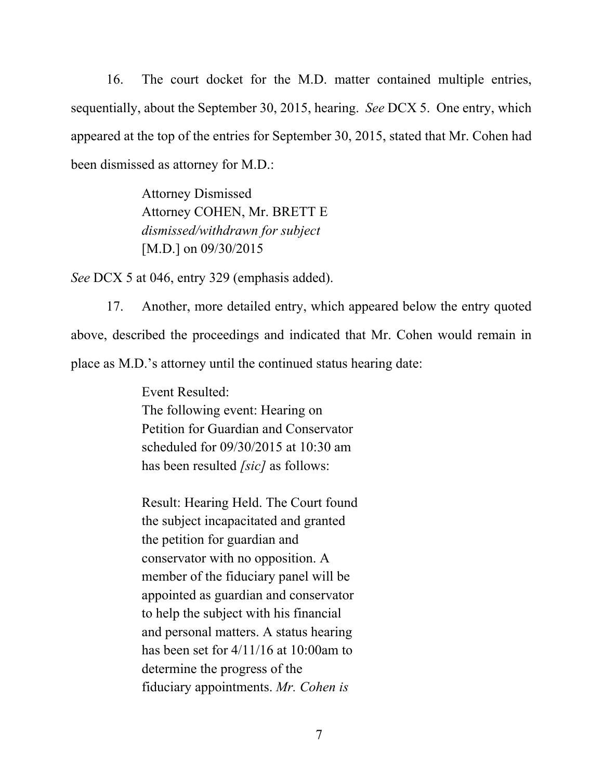16. The court docket for the M.D. matter contained multiple entries, sequentially, about the September 30, 2015, hearing. *See* DCX 5. One entry, which appeared at the top of the entries for September 30, 2015, stated that Mr. Cohen had been dismissed as attorney for M.D.:

> Attorney Dismissed Attorney COHEN, Mr. BRETT E *dismissed/withdrawn for subject*  [M.D.] on 09/30/2015

*See* DCX 5 at 046, entry 329 (emphasis added).

17. Another, more detailed entry, which appeared below the entry quoted above, described the proceedings and indicated that Mr. Cohen would remain in place as M.D.'s attorney until the continued status hearing date:

> Event Resulted: The following event: Hearing on Petition for Guardian and Conservator scheduled for 09/30/2015 at 10:30 am has been resulted *[sic]* as follows:

Result: Hearing Held. The Court found the subject incapacitated and granted the petition for guardian and conservator with no opposition. A member of the fiduciary panel will be appointed as guardian and conservator to help the subject with his financial and personal matters. A status hearing has been set for 4/11/16 at 10:00am to determine the progress of the fiduciary appointments. *Mr. Cohen is*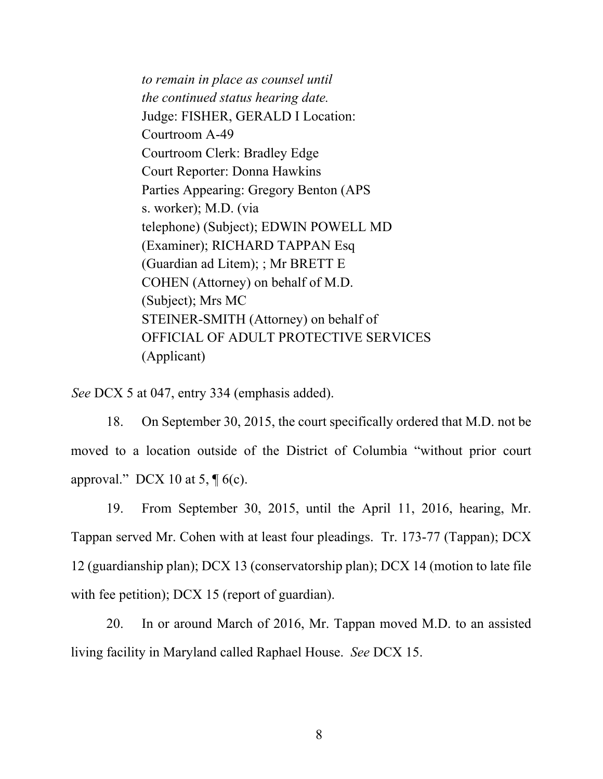*to remain in place as counsel until the continued status hearing date.*  Judge: FISHER, GERALD I Location: Courtroom A-49 Courtroom Clerk: Bradley Edge Court Reporter: Donna Hawkins Parties Appearing: Gregory Benton (APS s. worker); M.D. (via telephone) (Subject); EDWIN POWELL MD (Examiner); RICHARD TAPPAN Esq (Guardian ad Litem); ; Mr BRETT E COHEN (Attorney) on behalf of M.D. (Subject); Mrs MC STEINER-SMITH (Attorney) on behalf of OFFICIAL OF ADULT PROTECTIVE SERVICES (Applicant)

*See* DCX 5 at 047, entry 334 (emphasis added).

18. On September 30, 2015, the court specifically ordered that M.D. not be moved to a location outside of the District of Columbia "without prior court approval." DCX 10 at 5,  $\P$  6(c).

19. From September 30, 2015, until the April 11, 2016, hearing, Mr. Tappan served Mr. Cohen with at least four pleadings. Tr. 173-77 (Tappan); DCX 12 (guardianship plan); DCX 13 (conservatorship plan); DCX 14 (motion to late file with fee petition); DCX 15 (report of guardian).

20. In or around March of 2016, Mr. Tappan moved M.D. to an assisted living facility in Maryland called Raphael House. *See* DCX 15.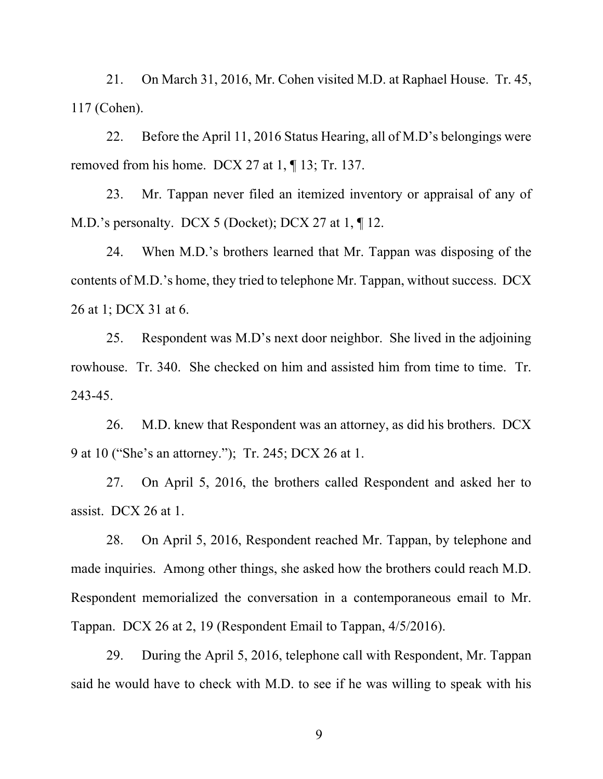21. On March 31, 2016, Mr. Cohen visited M.D. at Raphael House. Tr. 45, 117 (Cohen).

22. Before the April 11, 2016 Status Hearing, all of M.D's belongings were removed from his home. DCX 27 at 1, ¶ 13; Tr. 137.

23. Mr. Tappan never filed an itemized inventory or appraisal of any of M.D.'s personalty. DCX 5 (Docket); DCX 27 at 1, 12.

24. When M.D.'s brothers learned that Mr. Tappan was disposing of the contents of M.D.'s home, they tried to telephone Mr. Tappan, without success. DCX 26 at 1; DCX 31 at 6.

25. Respondent was M.D's next door neighbor. She lived in the adjoining rowhouse. Tr. 340. She checked on him and assisted him from time to time. Tr. 243-45.

26. M.D. knew that Respondent was an attorney, as did his brothers. DCX 9 at 10 ("She's an attorney."); Tr. 245; DCX 26 at 1.

27. On April 5, 2016, the brothers called Respondent and asked her to assist. DCX 26 at 1.

28. On April 5, 2016, Respondent reached Mr. Tappan, by telephone and made inquiries. Among other things, she asked how the brothers could reach M.D. Respondent memorialized the conversation in a contemporaneous email to Mr. Tappan. DCX 26 at 2, 19 (Respondent Email to Tappan, 4/5/2016).

29. During the April 5, 2016, telephone call with Respondent, Mr. Tappan said he would have to check with M.D. to see if he was willing to speak with his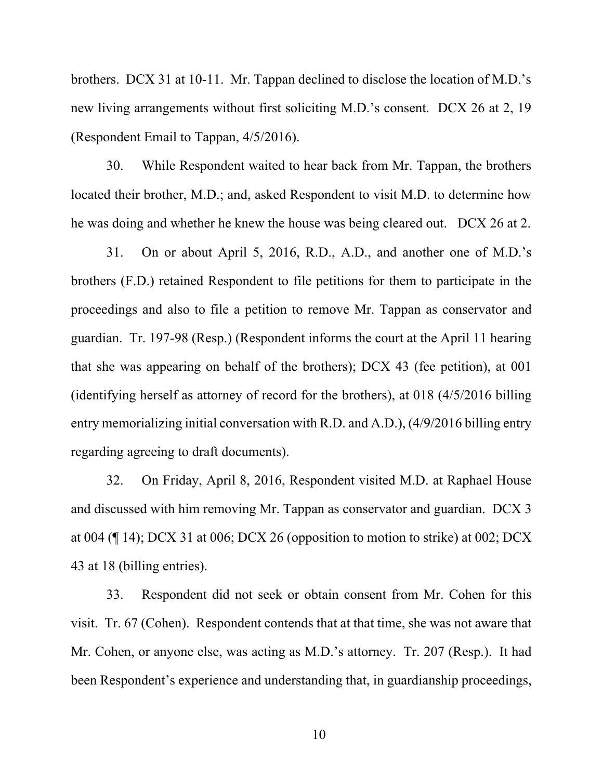brothers. DCX 31 at 10-11. Mr. Tappan declined to disclose the location of M.D.'s new living arrangements without first soliciting M.D.'s consent. DCX 26 at 2, 19 (Respondent Email to Tappan, 4/5/2016).

30. While Respondent waited to hear back from Mr. Tappan, the brothers located their brother, M.D.; and, asked Respondent to visit M.D. to determine how he was doing and whether he knew the house was being cleared out. DCX 26 at 2.

31. On or about April 5, 2016, R.D., A.D., and another one of M.D.'s brothers (F.D.) retained Respondent to file petitions for them to participate in the proceedings and also to file a petition to remove Mr. Tappan as conservator and guardian. Tr. 197-98 (Resp.) (Respondent informs the court at the April 11 hearing that she was appearing on behalf of the brothers); DCX 43 (fee petition), at 001 (identifying herself as attorney of record for the brothers), at 018 (4/5/2016 billing entry memorializing initial conversation with R.D. and A.D.), (4/9/2016 billing entry regarding agreeing to draft documents).

32. On Friday, April 8, 2016, Respondent visited M.D. at Raphael House and discussed with him removing Mr. Tappan as conservator and guardian. DCX 3 at 004 (¶ 14); DCX 31 at 006; DCX 26 (opposition to motion to strike) at 002; DCX 43 at 18 (billing entries).

33. Respondent did not seek or obtain consent from Mr. Cohen for this visit. Tr. 67 (Cohen). Respondent contends that at that time, she was not aware that Mr. Cohen, or anyone else, was acting as M.D.'s attorney. Tr. 207 (Resp.). It had been Respondent's experience and understanding that, in guardianship proceedings,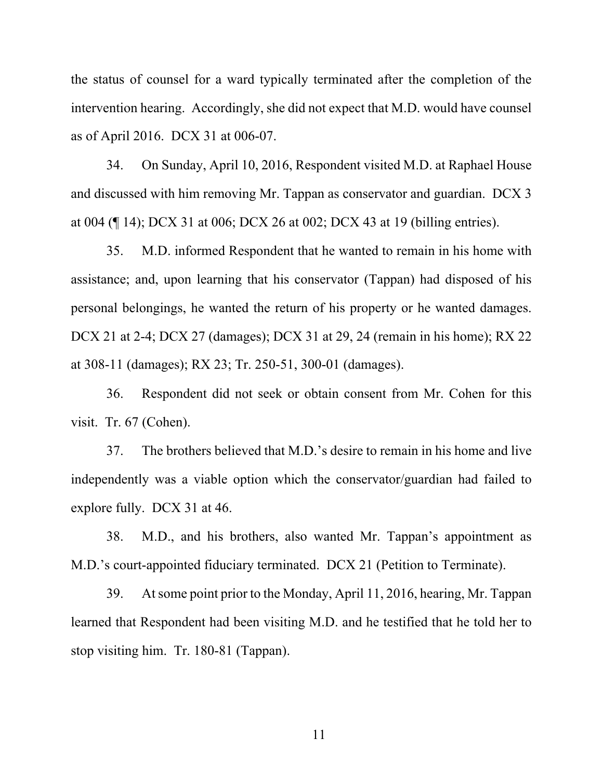the status of counsel for a ward typically terminated after the completion of the intervention hearing. Accordingly, she did not expect that M.D. would have counsel as of April 2016. DCX 31 at 006-07.

34. On Sunday, April 10, 2016, Respondent visited M.D. at Raphael House and discussed with him removing Mr. Tappan as conservator and guardian. DCX 3 at 004 (¶ 14); DCX 31 at 006; DCX 26 at 002; DCX 43 at 19 (billing entries).

35. M.D. informed Respondent that he wanted to remain in his home with assistance; and, upon learning that his conservator (Tappan) had disposed of his personal belongings, he wanted the return of his property or he wanted damages. DCX 21 at 2-4; DCX 27 (damages); DCX 31 at 29, 24 (remain in his home); RX 22 at 308-11 (damages); RX 23; Tr. 250-51, 300-01 (damages).

36. Respondent did not seek or obtain consent from Mr. Cohen for this visit. Tr. 67 (Cohen).

37. The brothers believed that M.D.'s desire to remain in his home and live independently was a viable option which the conservator/guardian had failed to explore fully. DCX 31 at 46.

38. M.D., and his brothers, also wanted Mr. Tappan's appointment as M.D.'s court-appointed fiduciary terminated. DCX 21 (Petition to Terminate).

39. At some point prior to the Monday, April 11, 2016, hearing, Mr. Tappan learned that Respondent had been visiting M.D. and he testified that he told her to stop visiting him. Tr. 180-81 (Tappan).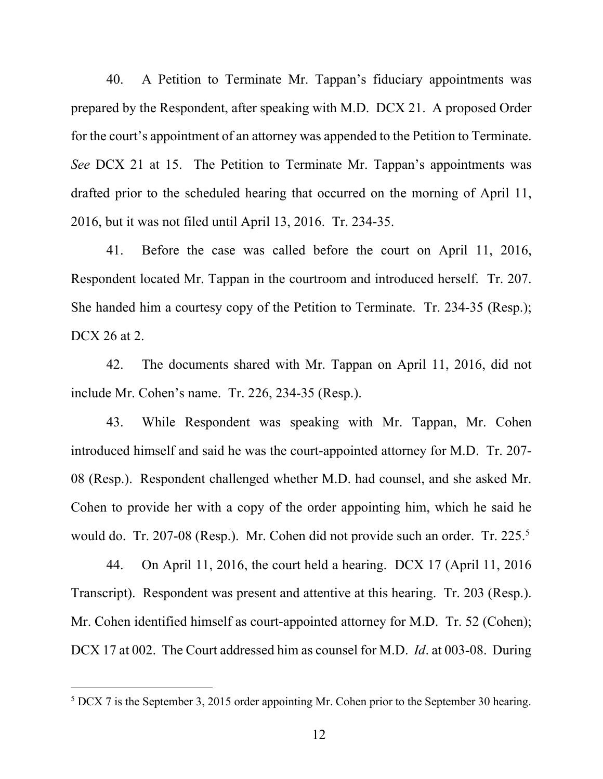40. A Petition to Terminate Mr. Tappan's fiduciary appointments was prepared by the Respondent, after speaking with M.D. DCX 21. A proposed Order for the court's appointment of an attorney was appended to the Petition to Terminate. *See* DCX 21 at 15. The Petition to Terminate Mr. Tappan's appointments was drafted prior to the scheduled hearing that occurred on the morning of April 11, 2016, but it was not filed until April 13, 2016. Tr. 234-35.

41. Before the case was called before the court on April 11, 2016, Respondent located Mr. Tappan in the courtroom and introduced herself. Tr. 207. She handed him a courtesy copy of the Petition to Terminate. Tr. 234-35 (Resp.); DCX 26 at 2.

42. The documents shared with Mr. Tappan on April 11, 2016, did not include Mr. Cohen's name. Tr. 226, 234-35 (Resp.).

43. While Respondent was speaking with Mr. Tappan, Mr. Cohen introduced himself and said he was the court-appointed attorney for M.D. Tr. 207- 08 (Resp.). Respondent challenged whether M.D. had counsel, and she asked Mr. Cohen to provide her with a copy of the order appointing him, which he said he would do. Tr. 207-08 (Resp.). Mr. Cohen did not provide such an order. Tr. 225.<sup>5</sup>

44. On April 11, 2016, the court held a hearing. DCX 17 (April 11, 2016 Transcript). Respondent was present and attentive at this hearing. Tr. 203 (Resp.). Mr. Cohen identified himself as court-appointed attorney for M.D. Tr. 52 (Cohen); DCX 17 at 002. The Court addressed him as counsel for M.D. *Id*. at 003-08. During

 $5$  DCX 7 is the September 3, 2015 order appointing Mr. Cohen prior to the September 30 hearing.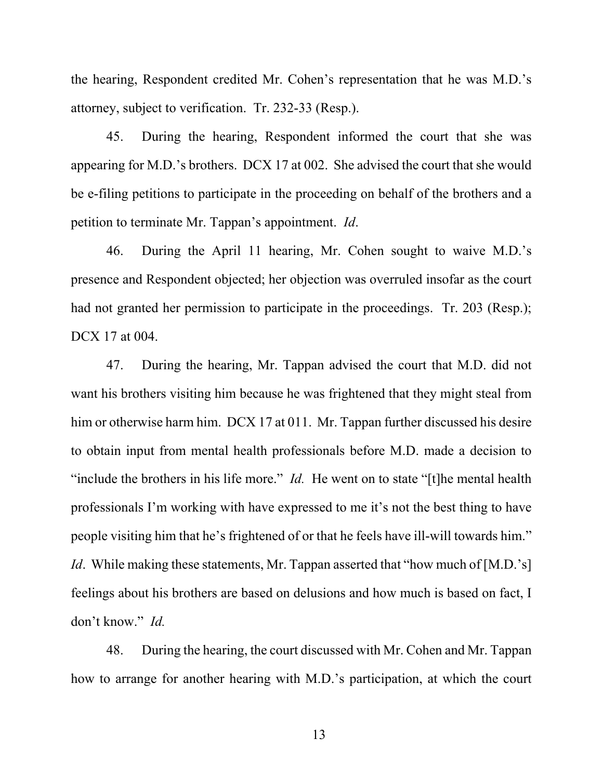the hearing, Respondent credited Mr. Cohen's representation that he was M.D.'s attorney, subject to verification. Tr. 232-33 (Resp.).

45. During the hearing, Respondent informed the court that she was appearing for M.D.'s brothers. DCX 17 at 002. She advised the court that she would be e-filing petitions to participate in the proceeding on behalf of the brothers and a petition to terminate Mr. Tappan's appointment. *Id*.

46. During the April 11 hearing, Mr. Cohen sought to waive M.D.'s presence and Respondent objected; her objection was overruled insofar as the court had not granted her permission to participate in the proceedings. Tr. 203 (Resp.); DCX 17 at 004.

47. During the hearing, Mr. Tappan advised the court that M.D. did not want his brothers visiting him because he was frightened that they might steal from him or otherwise harm him. DCX 17 at 011. Mr. Tappan further discussed his desire to obtain input from mental health professionals before M.D. made a decision to "include the brothers in his life more." *Id.* He went on to state "[t]he mental health professionals I'm working with have expressed to me it's not the best thing to have people visiting him that he's frightened of or that he feels have ill-will towards him." *Id.* While making these statements, Mr. Tappan asserted that "how much of [M.D.'s] feelings about his brothers are based on delusions and how much is based on fact, I don't know." *Id.*

48. During the hearing, the court discussed with Mr. Cohen and Mr. Tappan how to arrange for another hearing with M.D.'s participation, at which the court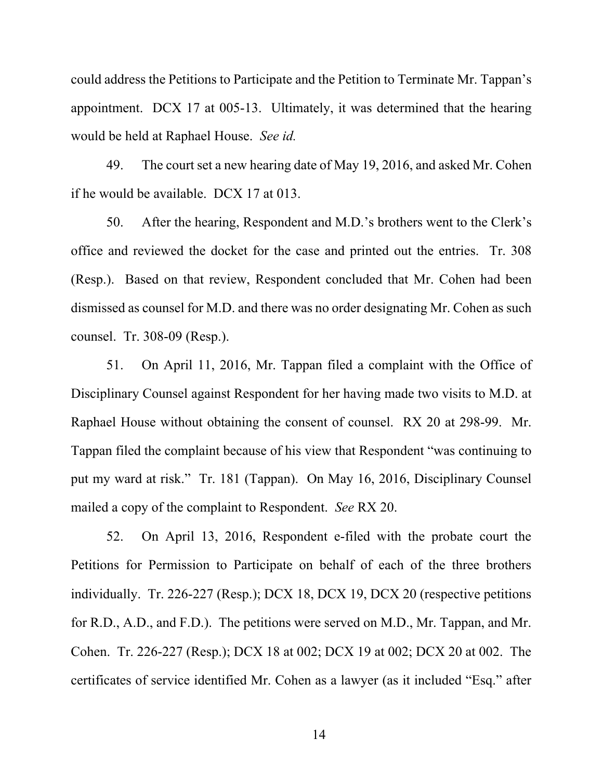could address the Petitions to Participate and the Petition to Terminate Mr. Tappan's appointment. DCX 17 at 005-13. Ultimately, it was determined that the hearing would be held at Raphael House. *See id.*

49. The court set a new hearing date of May 19, 2016, and asked Mr. Cohen if he would be available. DCX 17 at 013.

50. After the hearing, Respondent and M.D.'s brothers went to the Clerk's office and reviewed the docket for the case and printed out the entries. Tr. 308 (Resp.). Based on that review, Respondent concluded that Mr. Cohen had been dismissed as counsel for M.D. and there was no order designating Mr. Cohen as such counsel. Tr. 308-09 (Resp.).

51. On April 11, 2016, Mr. Tappan filed a complaint with the Office of Disciplinary Counsel against Respondent for her having made two visits to M.D. at Raphael House without obtaining the consent of counsel. RX 20 at 298-99. Mr. Tappan filed the complaint because of his view that Respondent "was continuing to put my ward at risk." Tr. 181 (Tappan). On May 16, 2016, Disciplinary Counsel mailed a copy of the complaint to Respondent. *See* RX 20.

52. On April 13, 2016, Respondent e-filed with the probate court the Petitions for Permission to Participate on behalf of each of the three brothers individually. Tr. 226-227 (Resp.); DCX 18, DCX 19, DCX 20 (respective petitions for R.D., A.D., and F.D.). The petitions were served on M.D., Mr. Tappan, and Mr. Cohen. Tr. 226-227 (Resp.); DCX 18 at 002; DCX 19 at 002; DCX 20 at 002. The certificates of service identified Mr. Cohen as a lawyer (as it included "Esq." after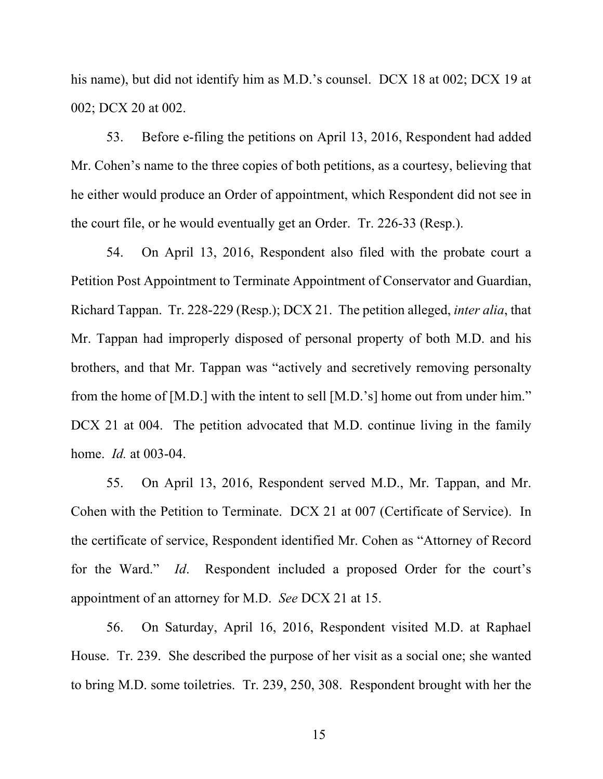his name), but did not identify him as M.D.'s counsel. DCX 18 at 002; DCX 19 at 002; DCX 20 at 002.

53. Before e-filing the petitions on April 13, 2016, Respondent had added Mr. Cohen's name to the three copies of both petitions, as a courtesy, believing that he either would produce an Order of appointment, which Respondent did not see in the court file, or he would eventually get an Order. Tr. 226-33 (Resp.).

54. On April 13, 2016, Respondent also filed with the probate court a Petition Post Appointment to Terminate Appointment of Conservator and Guardian, Richard Tappan. Tr. 228-229 (Resp.); DCX 21. The petition alleged, *inter alia*, that Mr. Tappan had improperly disposed of personal property of both M.D. and his brothers, and that Mr. Tappan was "actively and secretively removing personalty from the home of [M.D.] with the intent to sell [M.D.'s] home out from under him." DCX 21 at 004. The petition advocated that M.D. continue living in the family home. *Id.* at 003-04.

55. On April 13, 2016, Respondent served M.D., Mr. Tappan, and Mr. Cohen with the Petition to Terminate. DCX 21 at 007 (Certificate of Service). In the certificate of service, Respondent identified Mr. Cohen as "Attorney of Record for the Ward." *Id*. Respondent included a proposed Order for the court's appointment of an attorney for M.D. *See* DCX 21 at 15.

56. On Saturday, April 16, 2016, Respondent visited M.D. at Raphael House. Tr. 239. She described the purpose of her visit as a social one; she wanted to bring M.D. some toiletries. Tr. 239, 250, 308. Respondent brought with her the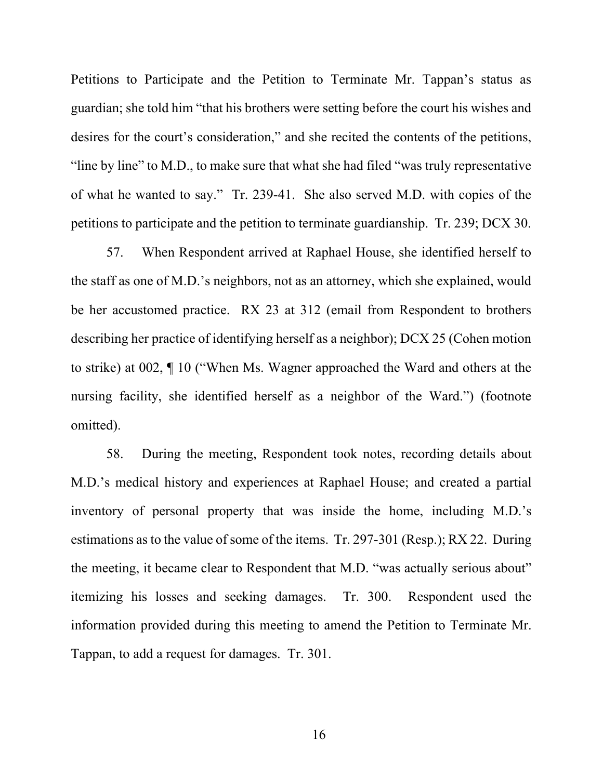Petitions to Participate and the Petition to Terminate Mr. Tappan's status as guardian; she told him "that his brothers were setting before the court his wishes and desires for the court's consideration," and she recited the contents of the petitions, "line by line" to M.D., to make sure that what she had filed "was truly representative of what he wanted to say." Tr. 239-41. She also served M.D. with copies of the petitions to participate and the petition to terminate guardianship. Tr. 239; DCX 30.

57. When Respondent arrived at Raphael House, she identified herself to the staff as one of M.D.'s neighbors, not as an attorney, which she explained, would be her accustomed practice. RX 23 at 312 (email from Respondent to brothers describing her practice of identifying herself as a neighbor); DCX 25 (Cohen motion to strike) at 002, ¶ 10 ("When Ms. Wagner approached the Ward and others at the nursing facility, she identified herself as a neighbor of the Ward.") (footnote omitted).

58. During the meeting, Respondent took notes, recording details about M.D.'s medical history and experiences at Raphael House; and created a partial inventory of personal property that was inside the home, including M.D.'s estimations as to the value of some of the items. Tr. 297-301 (Resp.); RX 22. During the meeting, it became clear to Respondent that M.D. "was actually serious about" itemizing his losses and seeking damages. Tr. 300. Respondent used the information provided during this meeting to amend the Petition to Terminate Mr. Tappan, to add a request for damages. Tr. 301.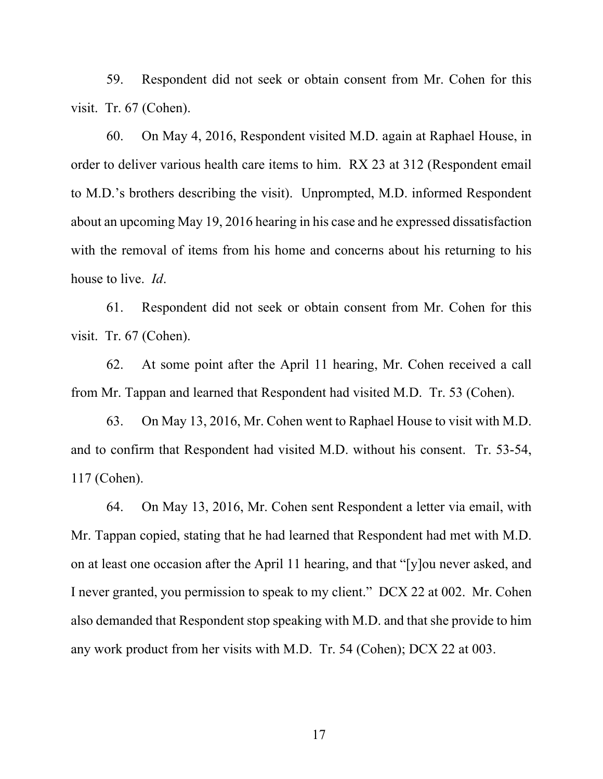59. Respondent did not seek or obtain consent from Mr. Cohen for this visit. Tr. 67 (Cohen).

60. On May 4, 2016, Respondent visited M.D. again at Raphael House, in order to deliver various health care items to him. RX 23 at 312 (Respondent email to M.D.'s brothers describing the visit). Unprompted, M.D. informed Respondent about an upcoming May 19, 2016 hearing in his case and he expressed dissatisfaction with the removal of items from his home and concerns about his returning to his house to live. *Id*.

61. Respondent did not seek or obtain consent from Mr. Cohen for this visit. Tr. 67 (Cohen).

62. At some point after the April 11 hearing, Mr. Cohen received a call from Mr. Tappan and learned that Respondent had visited M.D. Tr. 53 (Cohen).

63. On May 13, 2016, Mr. Cohen went to Raphael House to visit with M.D. and to confirm that Respondent had visited M.D. without his consent. Tr. 53-54, 117 (Cohen).

64. On May 13, 2016, Mr. Cohen sent Respondent a letter via email, with Mr. Tappan copied, stating that he had learned that Respondent had met with M.D. on at least one occasion after the April 11 hearing, and that "[y]ou never asked, and I never granted, you permission to speak to my client." DCX 22 at 002. Mr. Cohen also demanded that Respondent stop speaking with M.D. and that she provide to him any work product from her visits with M.D. Tr. 54 (Cohen); DCX 22 at 003.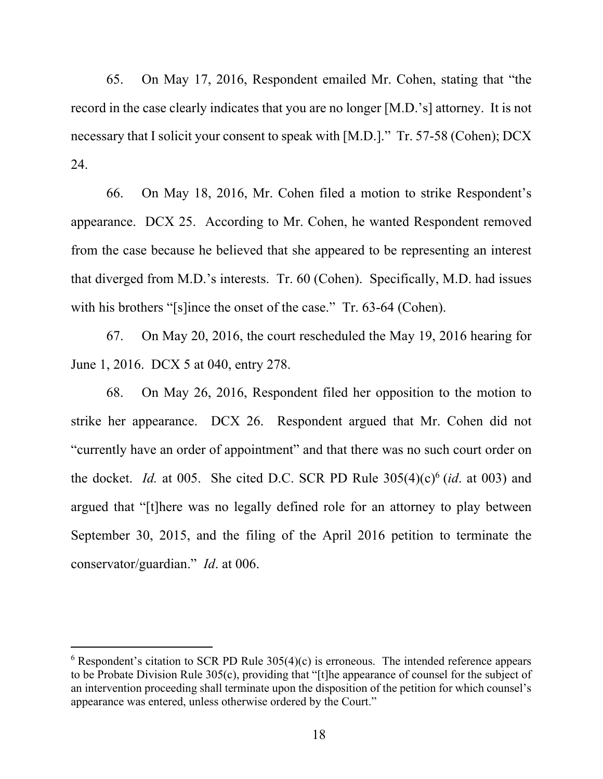65. On May 17, 2016, Respondent emailed Mr. Cohen, stating that "the record in the case clearly indicates that you are no longer [M.D.'s] attorney. It is not necessary that I solicit your consent to speak with [M.D.]." Tr. 57-58 (Cohen); DCX 24.

66. On May 18, 2016, Mr. Cohen filed a motion to strike Respondent's appearance. DCX 25. According to Mr. Cohen, he wanted Respondent removed from the case because he believed that she appeared to be representing an interest that diverged from M.D.'s interests. Tr. 60 (Cohen). Specifically, M.D. had issues with his brothers "[s]ince the onset of the case." Tr. 63-64 (Cohen).

67. On May 20, 2016, the court rescheduled the May 19, 2016 hearing for June 1, 2016. DCX 5 at 040, entry 278.

68. On May 26, 2016, Respondent filed her opposition to the motion to strike her appearance. DCX 26. Respondent argued that Mr. Cohen did not "currently have an order of appointment" and that there was no such court order on the docket. *Id.* at 005. She cited D.C. SCR PD Rule  $305(4)(c)^6$  (*id.* at 003) and argued that "[t]here was no legally defined role for an attorney to play between September 30, 2015, and the filing of the April 2016 petition to terminate the conservator/guardian." *Id*. at 006.

 $6$  Respondent's citation to SCR PD Rule 305(4)(c) is erroneous. The intended reference appears to be Probate Division Rule 305(c), providing that "[t]he appearance of counsel for the subject of an intervention proceeding shall terminate upon the disposition of the petition for which counsel's appearance was entered, unless otherwise ordered by the Court."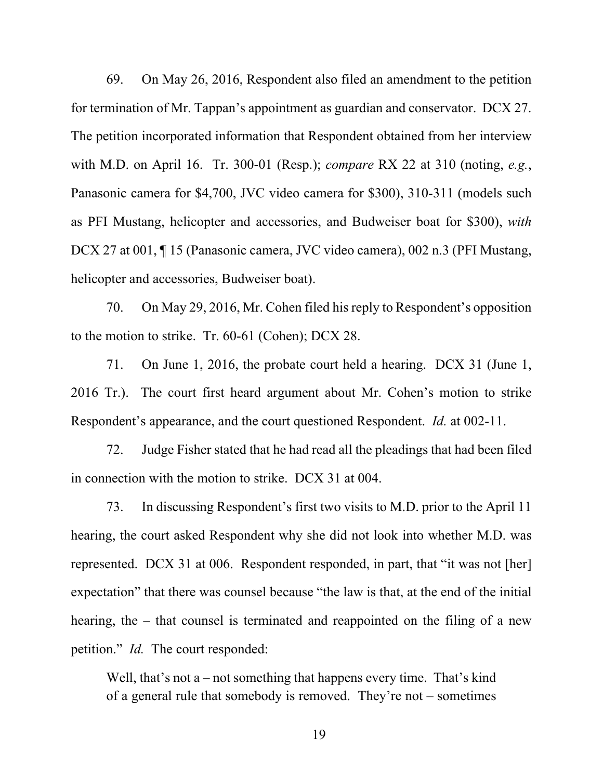69. On May 26, 2016, Respondent also filed an amendment to the petition for termination of Mr. Tappan's appointment as guardian and conservator. DCX 27. The petition incorporated information that Respondent obtained from her interview with M.D. on April 16. Tr. 300-01 (Resp.); *compare* RX 22 at 310 (noting, *e.g.*, Panasonic camera for \$4,700, JVC video camera for \$300), 310-311 (models such as PFI Mustang, helicopter and accessories, and Budweiser boat for \$300), *with* DCX 27 at 001, ¶ 15 (Panasonic camera, JVC video camera), 002 n.3 (PFI Mustang, helicopter and accessories, Budweiser boat).

70. On May 29, 2016, Mr. Cohen filed his reply to Respondent's opposition to the motion to strike. Tr. 60-61 (Cohen); DCX 28.

71. On June 1, 2016, the probate court held a hearing. DCX 31 (June 1, 2016 Tr.). The court first heard argument about Mr. Cohen's motion to strike Respondent's appearance, and the court questioned Respondent. *Id.* at 002-11.

72. Judge Fisher stated that he had read all the pleadings that had been filed in connection with the motion to strike. DCX 31 at 004.

73. In discussing Respondent's first two visits to M.D. prior to the April 11 hearing, the court asked Respondent why she did not look into whether M.D. was represented. DCX 31 at 006. Respondent responded, in part, that "it was not [her] expectation" that there was counsel because "the law is that, at the end of the initial hearing, the – that counsel is terminated and reappointed on the filing of a new petition." *Id.* The court responded:

Well, that's not a – not something that happens every time. That's kind of a general rule that somebody is removed. They're not – sometimes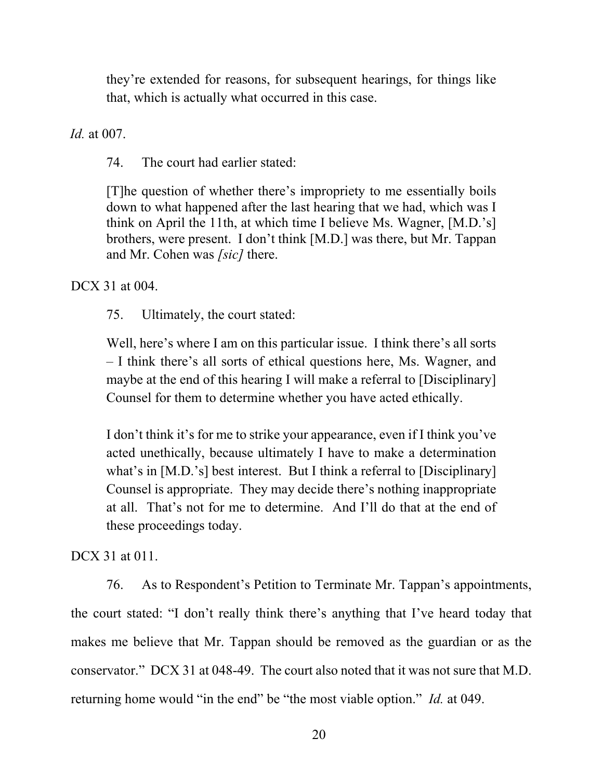they're extended for reasons, for subsequent hearings, for things like that, which is actually what occurred in this case.

*Id.* at 007.

74. The court had earlier stated:

[T]he question of whether there's impropriety to me essentially boils down to what happened after the last hearing that we had, which was I think on April the 11th, at which time I believe Ms. Wagner, [M.D.'s] brothers, were present. I don't think [M.D.] was there, but Mr. Tappan and Mr. Cohen was *[sic]* there.

DCX 31 at 004.

75. Ultimately, the court stated:

Well, here's where I am on this particular issue. I think there's all sorts – I think there's all sorts of ethical questions here, Ms. Wagner, and maybe at the end of this hearing I will make a referral to [Disciplinary] Counsel for them to determine whether you have acted ethically.

I don't think it's for me to strike your appearance, even if I think you've acted unethically, because ultimately I have to make a determination what's in [M.D.'s] best interest. But I think a referral to [Disciplinary] Counsel is appropriate. They may decide there's nothing inappropriate at all. That's not for me to determine. And I'll do that at the end of these proceedings today.

DCX 31 at 011.

76. As to Respondent's Petition to Terminate Mr. Tappan's appointments, the court stated: "I don't really think there's anything that I've heard today that makes me believe that Mr. Tappan should be removed as the guardian or as the conservator." DCX 31 at 048-49. The court also noted that it was not sure that M.D. returning home would "in the end" be "the most viable option." *Id.* at 049.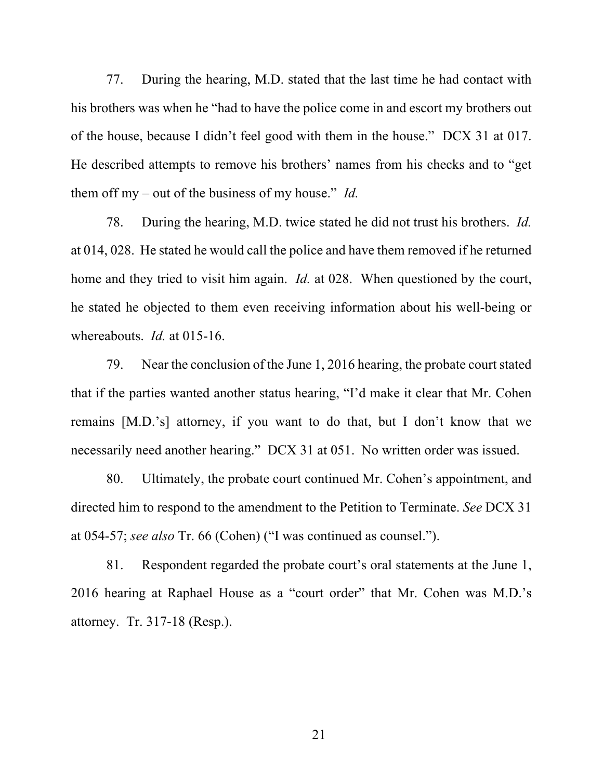77. During the hearing, M.D. stated that the last time he had contact with his brothers was when he "had to have the police come in and escort my brothers out of the house, because I didn't feel good with them in the house." DCX 31 at 017. He described attempts to remove his brothers' names from his checks and to "get them off my – out of the business of my house." *Id.*

78. During the hearing, M.D. twice stated he did not trust his brothers. *Id.* at 014, 028. He stated he would call the police and have them removed if he returned home and they tried to visit him again. *Id.* at 028. When questioned by the court, he stated he objected to them even receiving information about his well-being or whereabouts. *Id.* at 015-16.

79. Near the conclusion of the June 1, 2016 hearing, the probate court stated that if the parties wanted another status hearing, "I'd make it clear that Mr. Cohen remains [M.D.'s] attorney, if you want to do that, but I don't know that we necessarily need another hearing." DCX 31 at 051. No written order was issued.

80. Ultimately, the probate court continued Mr. Cohen's appointment, and directed him to respond to the amendment to the Petition to Terminate. *See* DCX 31 at 054-57; *see also* Tr. 66 (Cohen) ("I was continued as counsel.").

81. Respondent regarded the probate court's oral statements at the June 1, 2016 hearing at Raphael House as a "court order" that Mr. Cohen was M.D.'s attorney. Tr. 317-18 (Resp.).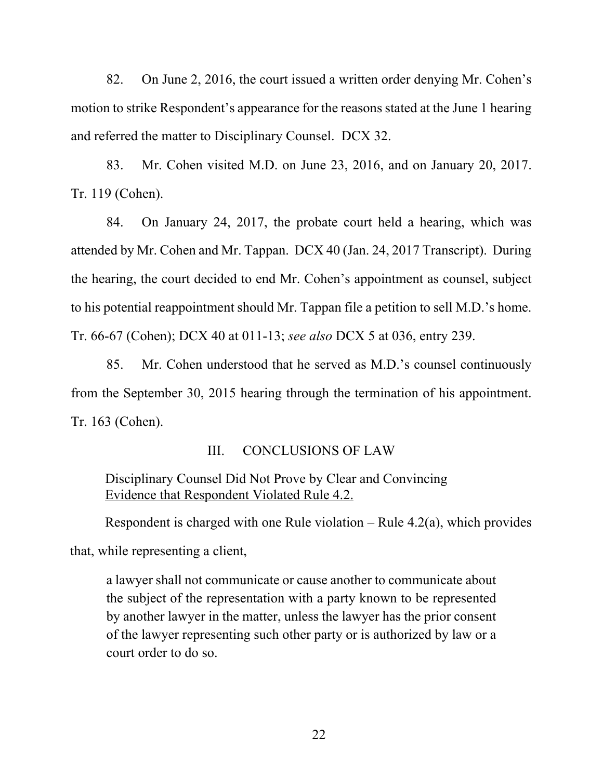82. On June 2, 2016, the court issued a written order denying Mr. Cohen's motion to strike Respondent's appearance for the reasons stated at the June 1 hearing and referred the matter to Disciplinary Counsel. DCX 32.

83. Mr. Cohen visited M.D. on June 23, 2016, and on January 20, 2017. Tr. 119 (Cohen).

84. On January 24, 2017, the probate court held a hearing, which was attended by Mr. Cohen and Mr. Tappan. DCX 40 (Jan. 24, 2017 Transcript). During the hearing, the court decided to end Mr. Cohen's appointment as counsel, subject to his potential reappointment should Mr. Tappan file a petition to sell M.D.'s home. Tr. 66-67 (Cohen); DCX 40 at 011-13; *see also* DCX 5 at 036, entry 239.

85. Mr. Cohen understood that he served as M.D.'s counsel continuously from the September 30, 2015 hearing through the termination of his appointment. Tr. 163 (Cohen).

### III. CONCLUSIONS OF LAW

# Disciplinary Counsel Did Not Prove by Clear and Convincing Evidence that Respondent Violated Rule 4.2.

Respondent is charged with one Rule violation – Rule  $4.2(a)$ , which provides

that, while representing a client,

a lawyer shall not communicate or cause another to communicate about the subject of the representation with a party known to be represented by another lawyer in the matter, unless the lawyer has the prior consent of the lawyer representing such other party or is authorized by law or a court order to do so.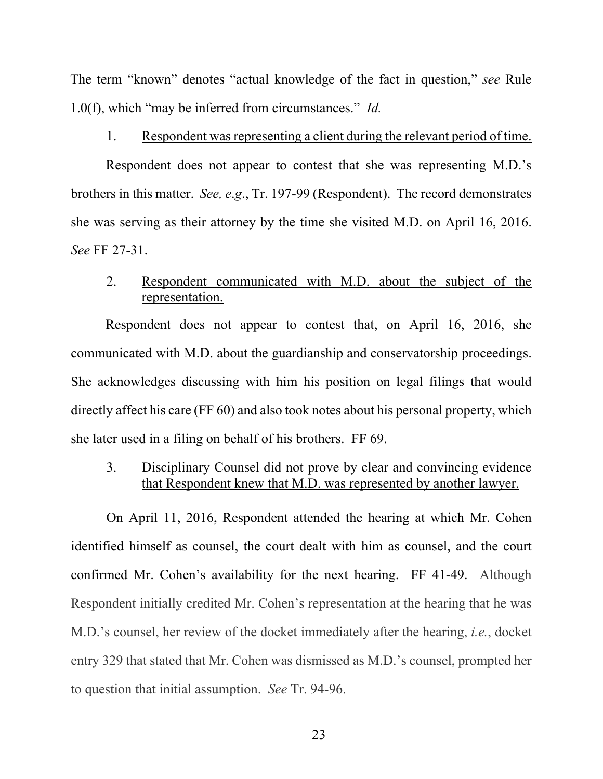The term "known" denotes "actual knowledge of the fact in question," *see* Rule 1.0(f), which "may be inferred from circumstances." *Id.*

### 1. Respondent was representing a client during the relevant period of time.

Respondent does not appear to contest that she was representing M.D.'s brothers in this matter. *See, e*.*g*., Tr. 197-99 (Respondent). The record demonstrates she was serving as their attorney by the time she visited M.D. on April 16, 2016. *See* FF 27-31.

## 2. Respondent communicated with M.D. about the subject of the representation.

Respondent does not appear to contest that, on April 16, 2016, she communicated with M.D. about the guardianship and conservatorship proceedings. She acknowledges discussing with him his position on legal filings that would directly affect his care (FF 60) and also took notes about his personal property, which she later used in a filing on behalf of his brothers. FF 69.

# 3. Disciplinary Counsel did not prove by clear and convincing evidence that Respondent knew that M.D. was represented by another lawyer.

On April 11, 2016, Respondent attended the hearing at which Mr. Cohen identified himself as counsel, the court dealt with him as counsel, and the court confirmed Mr. Cohen's availability for the next hearing. FF 41-49. Although Respondent initially credited Mr. Cohen's representation at the hearing that he was M.D.'s counsel, her review of the docket immediately after the hearing, *i.e.*, docket entry 329 that stated that Mr. Cohen was dismissed as M.D.'s counsel, prompted her to question that initial assumption. *See* Tr. 94-96.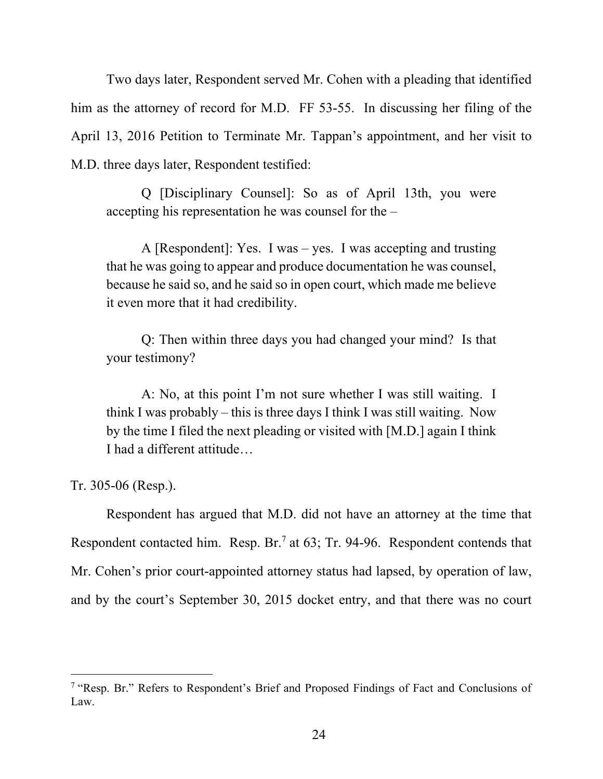Two days later, Respondent served Mr. Cohen with a pleading that identified him as the attorney of record for M.D. FF 53-55. In discussing her filing of the April 13, 2016 Petition to Terminate Mr. Tappan's appointment, and her visit to M.D. three days later, Respondent testified:

Q [Disciplinary Counsel]: So as of April 13th, you were accepting his representation he was counsel for the –

A [Respondent]: Yes. I was – yes. I was accepting and trusting that he was going to appear and produce documentation he was counsel, because he said so, and he said so in open court, which made me believe it even more that it had credibility.

Q: Then within three days you had changed your mind? Is that your testimony?

A: No, at this point I'm not sure whether I was still waiting. I think I was probably – this is three days I think I was still waiting. Now by the time I filed the next pleading or visited with [M.D.] again I think I had a different attitude…

Tr. 305-06 (Resp.).

Respondent has argued that M.D. did not have an attorney at the time that Respondent contacted him. Resp. Br.<sup>7</sup> at 63; Tr. 94-96. Respondent contends that Mr. Cohen's prior court-appointed attorney status had lapsed, by operation of law, and by the court's September 30, 2015 docket entry, and that there was no court

<sup>&</sup>lt;sup>7</sup> "Resp. Br." Refers to Respondent's Brief and Proposed Findings of Fact and Conclusions of Law.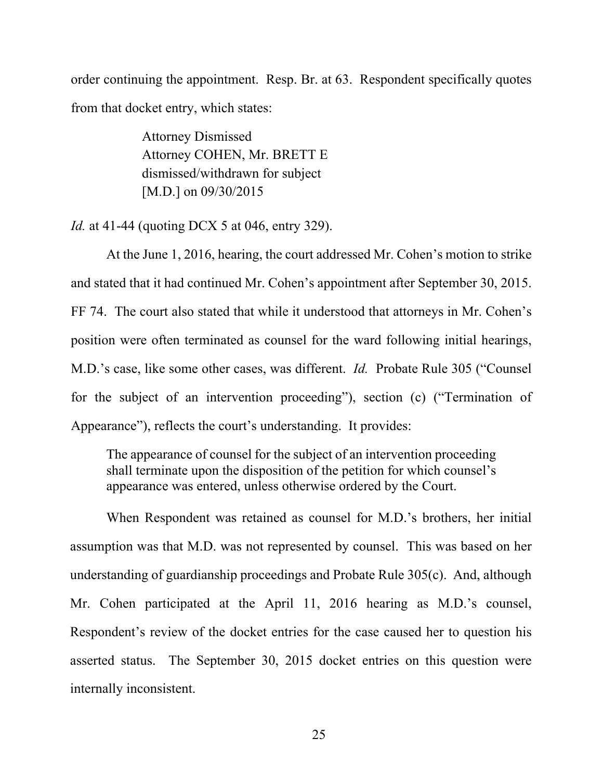order continuing the appointment. Resp. Br. at 63. Respondent specifically quotes from that docket entry, which states:

> Attorney Dismissed Attorney COHEN, Mr. BRETT E dismissed/withdrawn for subject [M.D.] on 09/30/2015

*Id.* at 41-44 (quoting DCX 5 at 046, entry 329).

At the June 1, 2016, hearing, the court addressed Mr. Cohen's motion to strike and stated that it had continued Mr. Cohen's appointment after September 30, 2015. FF 74. The court also stated that while it understood that attorneys in Mr. Cohen's position were often terminated as counsel for the ward following initial hearings, M.D.'s case, like some other cases, was different. *Id.* Probate Rule 305 ("Counsel for the subject of an intervention proceeding"), section (c) ("Termination of Appearance"), reflects the court's understanding. It provides:

The appearance of counsel for the subject of an intervention proceeding shall terminate upon the disposition of the petition for which counsel's appearance was entered, unless otherwise ordered by the Court.

 When Respondent was retained as counsel for M.D.'s brothers, her initial assumption was that M.D. was not represented by counsel. This was based on her understanding of guardianship proceedings and Probate Rule 305(c). And, although Mr. Cohen participated at the April 11, 2016 hearing as M.D.'s counsel, Respondent's review of the docket entries for the case caused her to question his asserted status. The September 30, 2015 docket entries on this question were internally inconsistent.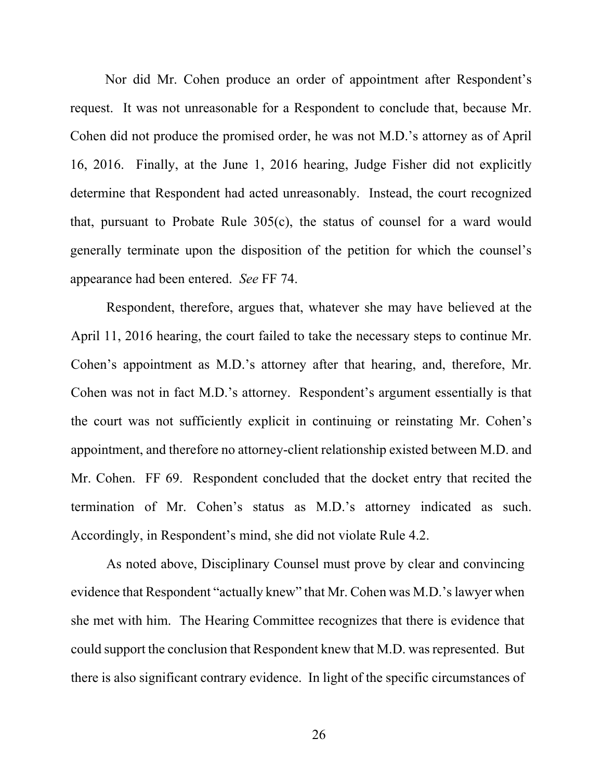Nor did Mr. Cohen produce an order of appointment after Respondent's request. It was not unreasonable for a Respondent to conclude that, because Mr. Cohen did not produce the promised order, he was not M.D.'s attorney as of April 16, 2016. Finally, at the June 1, 2016 hearing, Judge Fisher did not explicitly determine that Respondent had acted unreasonably. Instead, the court recognized that, pursuant to Probate Rule 305(c), the status of counsel for a ward would generally terminate upon the disposition of the petition for which the counsel's appearance had been entered. *See* FF 74.

Respondent, therefore, argues that, whatever she may have believed at the April 11, 2016 hearing, the court failed to take the necessary steps to continue Mr. Cohen's appointment as M.D.'s attorney after that hearing, and, therefore, Mr. Cohen was not in fact M.D.'s attorney. Respondent's argument essentially is that the court was not sufficiently explicit in continuing or reinstating Mr. Cohen's appointment, and therefore no attorney-client relationship existed between M.D. and Mr. Cohen. FF 69. Respondent concluded that the docket entry that recited the termination of Mr. Cohen's status as M.D.'s attorney indicated as such. Accordingly, in Respondent's mind, she did not violate Rule 4.2.

As noted above, Disciplinary Counsel must prove by clear and convincing evidence that Respondent "actually knew" that Mr. Cohen was M.D.'s lawyer when she met with him. The Hearing Committee recognizes that there is evidence that could support the conclusion that Respondent knew that M.D. was represented. But there is also significant contrary evidence. In light of the specific circumstances of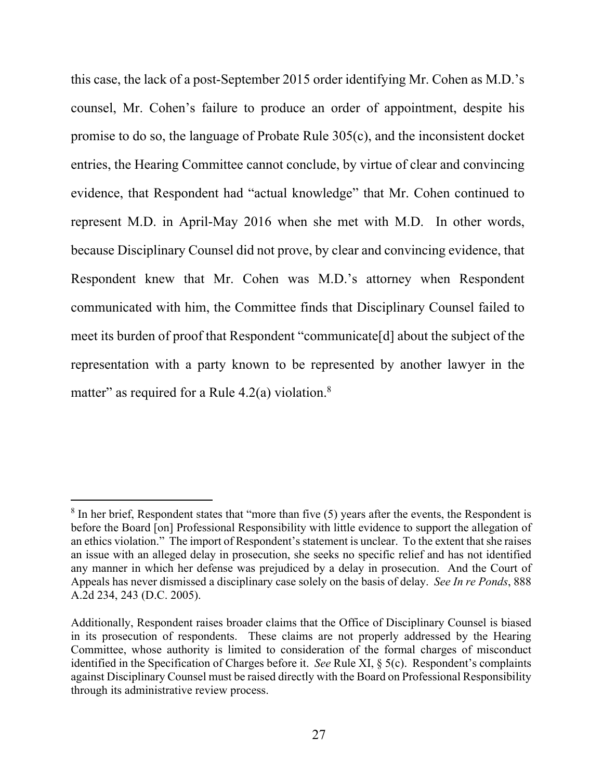this case, the lack of a post-September 2015 order identifying Mr. Cohen as M.D.'s counsel, Mr. Cohen's failure to produce an order of appointment, despite his promise to do so, the language of Probate Rule 305(c), and the inconsistent docket entries, the Hearing Committee cannot conclude, by virtue of clear and convincing evidence, that Respondent had "actual knowledge" that Mr. Cohen continued to represent M.D. in April-May 2016 when she met with M.D. In other words, because Disciplinary Counsel did not prove, by clear and convincing evidence, that Respondent knew that Mr. Cohen was M.D.'s attorney when Respondent communicated with him, the Committee finds that Disciplinary Counsel failed to meet its burden of proof that Respondent "communicate[d] about the subject of the representation with a party known to be represented by another lawyer in the matter" as required for a Rule  $4.2(a)$  violation.<sup>8</sup>

 $8$  In her brief, Respondent states that "more than five  $(5)$  years after the events, the Respondent is before the Board [on] Professional Responsibility with little evidence to support the allegation of an ethics violation." The import of Respondent's statement is unclear. To the extent that she raises an issue with an alleged delay in prosecution, she seeks no specific relief and has not identified any manner in which her defense was prejudiced by a delay in prosecution. And the Court of Appeals has never dismissed a disciplinary case solely on the basis of delay. *See In re Ponds*, 888 A.2d 234, 243 (D.C. 2005).

Additionally, Respondent raises broader claims that the Office of Disciplinary Counsel is biased in its prosecution of respondents. These claims are not properly addressed by the Hearing Committee, whose authority is limited to consideration of the formal charges of misconduct identified in the Specification of Charges before it. *See* Rule XI, § 5(c). Respondent's complaints against Disciplinary Counsel must be raised directly with the Board on Professional Responsibility through its administrative review process.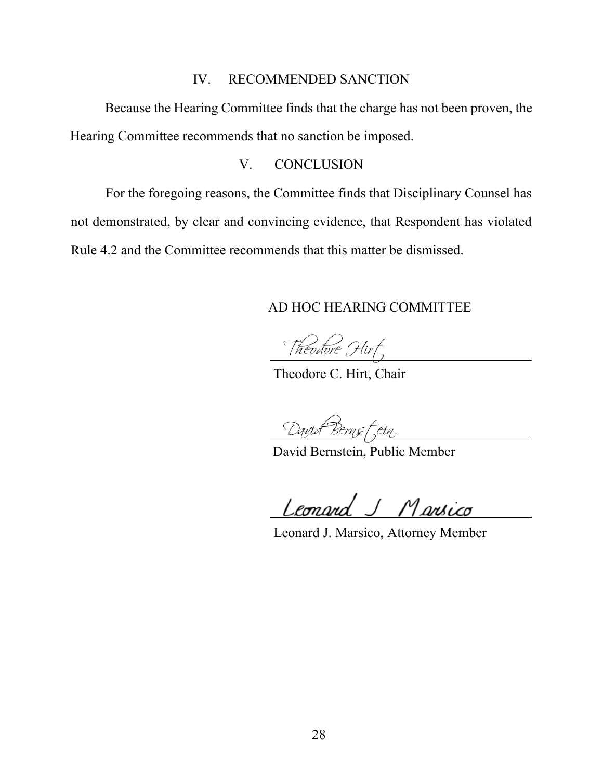### IV. RECOMMENDED SANCTION

Because the Hearing Committee finds that the charge has not been proven, the Hearing Committee recommends that no sanction be imposed.

### V. CONCLUSION

For the foregoing reasons, the Committee finds that Disciplinary Counsel has not demonstrated, by clear and convincing evidence, that Respondent has violated Rule 4.2 and the Committee recommends that this matter be dismissed.

 $\overline{a}$ 

 $\overline{a}$ 

## AD HOC HEARING COMMITTEE

Theodore Hirt,

Theodore C. Hirt, Chair

David Berns fein

David Bernstein, Public Member

Leonard J Marsico

Leonard J. Marsico, Attorney Member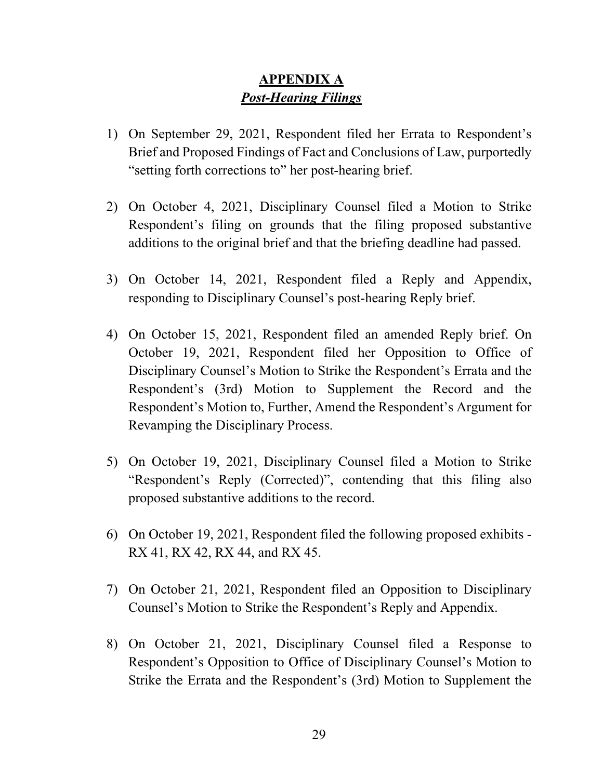# **APPENDIX A**  *Post-Hearing Filings*

- 1) On September 29, 2021, Respondent filed her Errata to Respondent's Brief and Proposed Findings of Fact and Conclusions of Law, purportedly "setting forth corrections to" her post-hearing brief.
- 2) On October 4, 2021, Disciplinary Counsel filed a Motion to Strike Respondent's filing on grounds that the filing proposed substantive additions to the original brief and that the briefing deadline had passed.
- 3) On October 14, 2021, Respondent filed a Reply and Appendix, responding to Disciplinary Counsel's post-hearing Reply brief.
- 4) On October 15, 2021, Respondent filed an amended Reply brief. On October 19, 2021, Respondent filed her Opposition to Office of Disciplinary Counsel's Motion to Strike the Respondent's Errata and the Respondent's (3rd) Motion to Supplement the Record and the Respondent's Motion to, Further, Amend the Respondent's Argument for Revamping the Disciplinary Process.
- 5) On October 19, 2021, Disciplinary Counsel filed a Motion to Strike "Respondent's Reply (Corrected)", contending that this filing also proposed substantive additions to the record.
- 6) On October 19, 2021, Respondent filed the following proposed exhibits RX 41, RX 42, RX 44, and RX 45.
- 7) On October 21, 2021, Respondent filed an Opposition to Disciplinary Counsel's Motion to Strike the Respondent's Reply and Appendix.
- 8) On October 21, 2021, Disciplinary Counsel filed a Response to Respondent's Opposition to Office of Disciplinary Counsel's Motion to Strike the Errata and the Respondent's (3rd) Motion to Supplement the